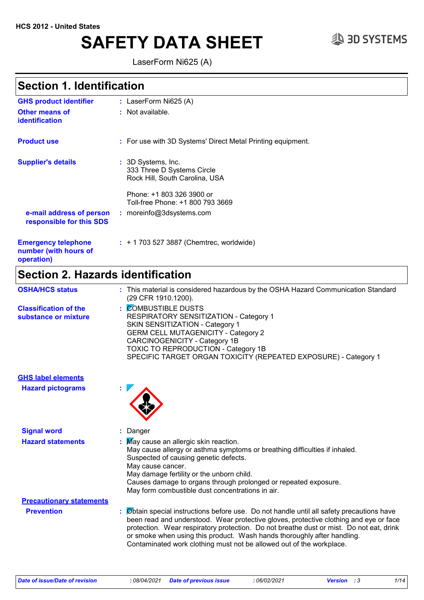# **SAFETY DATA SHEET**  $\qquad \qquad \text{3D SYSTEMS}$

LaserForm Ni625 (A)

### **Section 1. Identification**

| <b>GHS product identifier</b>                                     | : LaserForm $Ni625 (A)$                                                            |
|-------------------------------------------------------------------|------------------------------------------------------------------------------------|
| <b>Other means of</b><br><b>identification</b>                    | : Not available.                                                                   |
| <b>Product use</b>                                                | : For use with 3D Systems' Direct Metal Printing equipment.                        |
| <b>Supplier's details</b>                                         | : 3D Systems, Inc.<br>333 Three D Systems Circle<br>Rock Hill, South Carolina, USA |
|                                                                   | Phone: +1 803 326 3900 or<br>Toll-free Phone: +1 800 793 3669                      |
| e-mail address of person<br>responsible for this SDS              | : moreinfo@3dsystems.com                                                           |
| <b>Emergency telephone</b><br>number (with hours of<br>operation) | $: +17035273887$ (Chemtrec, worldwide)                                             |
|                                                                   |                                                                                    |

### **Section 2. Hazards identification**

| <b>OSHA/HCS status</b>                               | : This material is considered hazardous by the OSHA Hazard Communication Standard<br>(29 CFR 1910.1200).                                                                                                                                                                                                                                                                                                                                  |
|------------------------------------------------------|-------------------------------------------------------------------------------------------------------------------------------------------------------------------------------------------------------------------------------------------------------------------------------------------------------------------------------------------------------------------------------------------------------------------------------------------|
| <b>Classification of the</b><br>substance or mixture | <b>COMBUSTIBLE DUSTS</b><br><b>RESPIRATORY SENSITIZATION - Category 1</b><br>SKIN SENSITIZATION - Category 1<br><b>GERM CELL MUTAGENICITY - Category 2</b><br>CARCINOGENICITY - Category 1B<br>TOXIC TO REPRODUCTION - Category 1B<br>SPECIFIC TARGET ORGAN TOXICITY (REPEATED EXPOSURE) - Category 1                                                                                                                                     |
| <b>GHS label elements</b>                            |                                                                                                                                                                                                                                                                                                                                                                                                                                           |
| <b>Hazard pictograms</b>                             |                                                                                                                                                                                                                                                                                                                                                                                                                                           |
| <b>Signal word</b>                                   | Danger                                                                                                                                                                                                                                                                                                                                                                                                                                    |
| <b>Hazard statements</b>                             | : May cause an allergic skin reaction.<br>May cause allergy or asthma symptoms or breathing difficulties if inhaled.<br>Suspected of causing genetic defects.<br>May cause cancer.<br>May damage fertility or the unborn child.<br>Causes damage to organs through prolonged or repeated exposure.<br>May form combustible dust concentrations in air.                                                                                    |
| <b>Precautionary statements</b><br><b>Prevention</b> | $\emptyset$ btain special instructions before use. Do not handle until all safety precautions have<br>been read and understood. Wear protective gloves, protective clothing and eye or face<br>protection. Wear respiratory protection. Do not breathe dust or mist. Do not eat, drink<br>or smoke when using this product. Wash hands thoroughly after handling.<br>Contaminated work clothing must not be allowed out of the workplace. |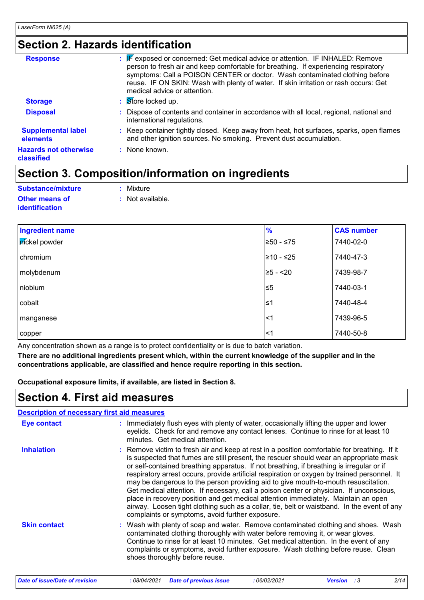### **Section 2. Hazards identification**

| <b>Response</b>                            | <b>F</b> exposed or concerned: Get medical advice or attention. IF INHALED: Remove<br>÷.<br>person to fresh air and keep comfortable for breathing. If experiencing respiratory<br>symptoms: Call a POISON CENTER or doctor. Wash contaminated clothing before<br>reuse. IF ON SKIN: Wash with plenty of water. If skin irritation or rash occurs: Get<br>medical advice or attention. |
|--------------------------------------------|----------------------------------------------------------------------------------------------------------------------------------------------------------------------------------------------------------------------------------------------------------------------------------------------------------------------------------------------------------------------------------------|
| <b>Storage</b>                             | : Store locked up.                                                                                                                                                                                                                                                                                                                                                                     |
| <b>Disposal</b>                            | Dispose of contents and container in accordance with all local, regional, national and<br>÷.<br>international regulations.                                                                                                                                                                                                                                                             |
| <b>Supplemental label</b><br>elements      | : Keep container tightly closed. Keep away from heat, hot surfaces, sparks, open flames<br>and other ignition sources. No smoking. Prevent dust accumulation.                                                                                                                                                                                                                          |
| <b>Hazards not otherwise</b><br>classified | : None known.                                                                                                                                                                                                                                                                                                                                                                          |

### **Section 3. Composition/information on ingredients**

| Substance/mixture     | : Mixture        |
|-----------------------|------------------|
| <b>Other means of</b> | : Not available. |
| <i>identification</i> |                  |

| <b>Ingredient name</b> | $\frac{9}{6}$ | <b>CAS number</b> |
|------------------------|---------------|-------------------|
| pickel powder          | $≥50 - ≤75$   | 7440-02-0         |
| chromium               | ≥10 - ≤25     | 7440-47-3         |
| molybdenum             | $≥5 - < 20$   | 7439-98-7         |
| niobium                | $\leq 5$      | 7440-03-1         |
| cobalt                 | $\leq$ 1      | 7440-48-4         |
| manganese              | $\leq$ 1      | 7439-96-5         |
| copper                 | $<$ 1         | 7440-50-8         |

Any concentration shown as a range is to protect confidentiality or is due to batch variation.

**There are no additional ingredients present which, within the current knowledge of the supplier and in the concentrations applicable, are classified and hence require reporting in this section.**

**Occupational exposure limits, if available, are listed in Section 8.**

### **Section 4. First aid measures**

| <b>Description of necessary first aid measures</b> |                                                                                                                                                                                                                                                                                                                                                                                                                                                                                                                                                                                                                                                                                                                                                                                                             |
|----------------------------------------------------|-------------------------------------------------------------------------------------------------------------------------------------------------------------------------------------------------------------------------------------------------------------------------------------------------------------------------------------------------------------------------------------------------------------------------------------------------------------------------------------------------------------------------------------------------------------------------------------------------------------------------------------------------------------------------------------------------------------------------------------------------------------------------------------------------------------|
| <b>Eye contact</b>                                 | : Immediately flush eyes with plenty of water, occasionally lifting the upper and lower<br>eyelids. Check for and remove any contact lenses. Continue to rinse for at least 10<br>minutes. Get medical attention.                                                                                                                                                                                                                                                                                                                                                                                                                                                                                                                                                                                           |
| <b>Inhalation</b>                                  | : Remove victim to fresh air and keep at rest in a position comfortable for breathing. If it<br>is suspected that fumes are still present, the rescuer should wear an appropriate mask<br>or self-contained breathing apparatus. If not breathing, if breathing is irregular or if<br>respiratory arrest occurs, provide artificial respiration or oxygen by trained personnel. It<br>may be dangerous to the person providing aid to give mouth-to-mouth resuscitation.<br>Get medical attention. If necessary, call a poison center or physician. If unconscious,<br>place in recovery position and get medical attention immediately. Maintain an open<br>airway. Loosen tight clothing such as a collar, tie, belt or waistband. In the event of any<br>complaints or symptoms, avoid further exposure. |
| <b>Skin contact</b>                                | : Wash with plenty of soap and water. Remove contaminated clothing and shoes. Wash<br>contaminated clothing thoroughly with water before removing it, or wear gloves.<br>Continue to rinse for at least 10 minutes. Get medical attention. In the event of any<br>complaints or symptoms, avoid further exposure. Wash clothing before reuse. Clean<br>shoes thoroughly before reuse.                                                                                                                                                                                                                                                                                                                                                                                                                       |
|                                                    |                                                                                                                                                                                                                                                                                                                                                                                                                                                                                                                                                                                                                                                                                                                                                                                                             |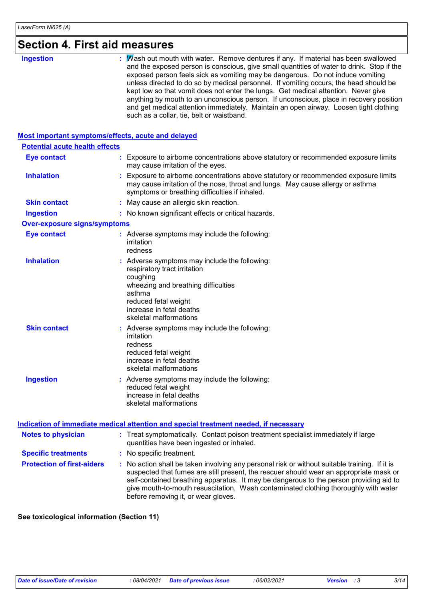## **Section 4. First aid measures**

| <b>Ingestion</b> |
|------------------|
|------------------|

#### **Most important symptoms/effects, acute and delayed**

| <b>Potential acute health effects</b> |                                                                                                                                                                                                                                                                                                                                                                                                                 |  |
|---------------------------------------|-----------------------------------------------------------------------------------------------------------------------------------------------------------------------------------------------------------------------------------------------------------------------------------------------------------------------------------------------------------------------------------------------------------------|--|
| <b>Eye contact</b>                    | : Exposure to airborne concentrations above statutory or recommended exposure limits<br>may cause irritation of the eyes.                                                                                                                                                                                                                                                                                       |  |
| <b>Inhalation</b>                     | : Exposure to airborne concentrations above statutory or recommended exposure limits<br>may cause irritation of the nose, throat and lungs. May cause allergy or asthma<br>symptoms or breathing difficulties if inhaled.                                                                                                                                                                                       |  |
| <b>Skin contact</b>                   | : May cause an allergic skin reaction.                                                                                                                                                                                                                                                                                                                                                                          |  |
| <b>Ingestion</b>                      | : No known significant effects or critical hazards.                                                                                                                                                                                                                                                                                                                                                             |  |
| Over-exposure signs/symptoms          |                                                                                                                                                                                                                                                                                                                                                                                                                 |  |
| <b>Eye contact</b>                    | : Adverse symptoms may include the following:<br>irritation<br>redness                                                                                                                                                                                                                                                                                                                                          |  |
| <b>Inhalation</b>                     | : Adverse symptoms may include the following:<br>respiratory tract irritation<br>coughing<br>wheezing and breathing difficulties<br>asthma<br>reduced fetal weight<br>increase in fetal deaths<br>skeletal malformations                                                                                                                                                                                        |  |
| <b>Skin contact</b>                   | : Adverse symptoms may include the following:<br>irritation<br>redness<br>reduced fetal weight<br>increase in fetal deaths<br>skeletal malformations                                                                                                                                                                                                                                                            |  |
| <b>Ingestion</b>                      | : Adverse symptoms may include the following:<br>reduced fetal weight<br>increase in fetal deaths<br>skeletal malformations                                                                                                                                                                                                                                                                                     |  |
|                                       | <u>Indication of immediate medical attention and special treatment needed, if necessary</u>                                                                                                                                                                                                                                                                                                                     |  |
| <b>Notes to physician</b>             | : Treat symptomatically. Contact poison treatment specialist immediately if large<br>quantities have been ingested or inhaled.                                                                                                                                                                                                                                                                                  |  |
| <b>Specific treatments</b>            | : No specific treatment.                                                                                                                                                                                                                                                                                                                                                                                        |  |
| <b>Protection of first-aiders</b>     | : No action shall be taken involving any personal risk or without suitable training. If it is<br>suspected that fumes are still present, the rescuer should wear an appropriate mask or<br>self-contained breathing apparatus. It may be dangerous to the person providing aid to<br>give mouth-to-mouth resuscitation. Wash contaminated clothing thoroughly with water<br>before removing it, or wear gloves. |  |

#### **See toxicological information (Section 11)**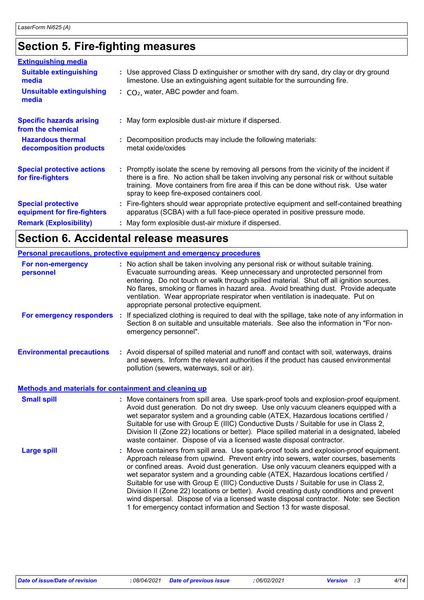## **Section 5. Fire-fighting measures**

| <b>Extinguishing media</b>                               |                                                                                                                                                                                                                                                                                                                               |
|----------------------------------------------------------|-------------------------------------------------------------------------------------------------------------------------------------------------------------------------------------------------------------------------------------------------------------------------------------------------------------------------------|
| <b>Suitable extinguishing</b><br>media                   | : Use approved Class D extinguisher or smother with dry sand, dry clay or dry ground<br>limestone. Use an extinguishing agent suitable for the surrounding fire.                                                                                                                                                              |
| <b>Unsuitable extinguishing</b><br>media                 | $\therefore$ CO <sub>2</sub> , water, ABC powder and foam.                                                                                                                                                                                                                                                                    |
| <b>Specific hazards arising</b><br>from the chemical     | : May form explosible dust-air mixture if dispersed.                                                                                                                                                                                                                                                                          |
| <b>Hazardous thermal</b><br>decomposition products       | : Decomposition products may include the following materials:<br>metal oxide/oxides                                                                                                                                                                                                                                           |
| <b>Special protective actions</b><br>for fire-fighters   | : Promptly isolate the scene by removing all persons from the vicinity of the incident if<br>there is a fire. No action shall be taken involving any personal risk or without suitable<br>training. Move containers from fire area if this can be done without risk. Use water<br>spray to keep fire-exposed containers cool. |
| <b>Special protective</b><br>equipment for fire-fighters | : Fire-fighters should wear appropriate protective equipment and self-contained breathing<br>apparatus (SCBA) with a full face-piece operated in positive pressure mode.                                                                                                                                                      |
| <b>Remark (Explosibility)</b>                            | : May form explosible dust-air mixture if dispersed.                                                                                                                                                                                                                                                                          |

## **Section 6. Accidental release measures**

|                                                              | <b>Personal precautions, protective equipment and emergency procedures</b>                                                                                                                                                                                                                                                                                                                                                                                                                                                                                                                                                                                                                                   |
|--------------------------------------------------------------|--------------------------------------------------------------------------------------------------------------------------------------------------------------------------------------------------------------------------------------------------------------------------------------------------------------------------------------------------------------------------------------------------------------------------------------------------------------------------------------------------------------------------------------------------------------------------------------------------------------------------------------------------------------------------------------------------------------|
| For non-emergency<br>personnel                               | : No action shall be taken involving any personal risk or without suitable training.<br>Evacuate surrounding areas. Keep unnecessary and unprotected personnel from<br>entering. Do not touch or walk through spilled material. Shut off all ignition sources.<br>No flares, smoking or flames in hazard area. Avoid breathing dust. Provide adequate<br>ventilation. Wear appropriate respirator when ventilation is inadequate. Put on<br>appropriate personal protective equipment.                                                                                                                                                                                                                       |
| For emergency responders                                     | If specialized clothing is required to deal with the spillage, take note of any information in<br>-11<br>Section 8 on suitable and unsuitable materials. See also the information in "For non-<br>emergency personnel".                                                                                                                                                                                                                                                                                                                                                                                                                                                                                      |
| <b>Environmental precautions</b>                             | : Avoid dispersal of spilled material and runoff and contact with soil, waterways, drains<br>and sewers. Inform the relevant authorities if the product has caused environmental<br>pollution (sewers, waterways, soil or air).                                                                                                                                                                                                                                                                                                                                                                                                                                                                              |
| <b>Methods and materials for containment and cleaning up</b> |                                                                                                                                                                                                                                                                                                                                                                                                                                                                                                                                                                                                                                                                                                              |
| <b>Small spill</b>                                           | : Move containers from spill area. Use spark-proof tools and explosion-proof equipment.<br>Avoid dust generation. Do not dry sweep. Use only vacuum cleaners equipped with a<br>wet separator system and a grounding cable (ATEX, Hazardous locations certified /<br>Suitable for use with Group E (IIIC) Conductive Dusts / Suitable for use in Class 2,<br>Division II (Zone 22) locations or better). Place spilled material in a designated, labeled<br>waste container. Dispose of via a licensed waste disposal contractor.                                                                                                                                                                            |
| <b>Large spill</b>                                           | Move containers from spill area. Use spark-proof tools and explosion-proof equipment.<br>Approach release from upwind. Prevent entry into sewers, water courses, basements<br>or confined areas. Avoid dust generation. Use only vacuum cleaners equipped with a<br>wet separator system and a grounding cable (ATEX, Hazardous locations certified /<br>Suitable for use with Group E (IIIC) Conductive Dusts / Suitable for use in Class 2,<br>Division II (Zone 22) locations or better). Avoid creating dusty conditions and prevent<br>wind dispersal. Dispose of via a licensed waste disposal contractor. Note: see Section<br>1 for emergency contact information and Section 13 for waste disposal. |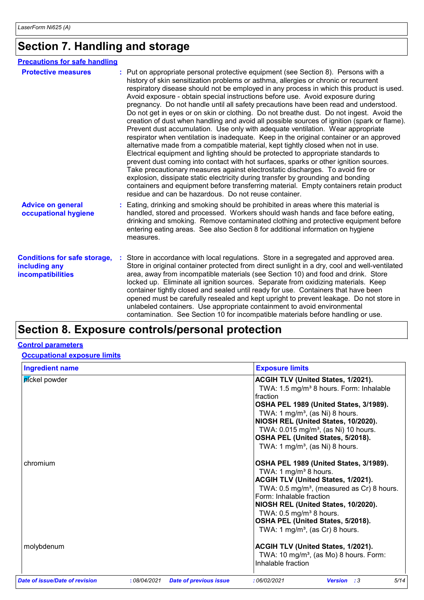## **Section 7. Handling and storage**

| <b>Precautions for safe handling</b>                                      |                                                                                                                                                                                                                                                                                                                                                                                                                                                                                                                                                                                                                                                                                                                                                                                                                                                                                                                                                                                                                                                                                                                                                                                                                                                                                                                                                                                                                       |
|---------------------------------------------------------------------------|-----------------------------------------------------------------------------------------------------------------------------------------------------------------------------------------------------------------------------------------------------------------------------------------------------------------------------------------------------------------------------------------------------------------------------------------------------------------------------------------------------------------------------------------------------------------------------------------------------------------------------------------------------------------------------------------------------------------------------------------------------------------------------------------------------------------------------------------------------------------------------------------------------------------------------------------------------------------------------------------------------------------------------------------------------------------------------------------------------------------------------------------------------------------------------------------------------------------------------------------------------------------------------------------------------------------------------------------------------------------------------------------------------------------------|
| <b>Protective measures</b>                                                | : Put on appropriate personal protective equipment (see Section 8). Persons with a<br>history of skin sensitization problems or asthma, allergies or chronic or recurrent<br>respiratory disease should not be employed in any process in which this product is used.<br>Avoid exposure - obtain special instructions before use. Avoid exposure during<br>pregnancy. Do not handle until all safety precautions have been read and understood.<br>Do not get in eyes or on skin or clothing. Do not breathe dust. Do not ingest. Avoid the<br>creation of dust when handling and avoid all possible sources of ignition (spark or flame).<br>Prevent dust accumulation. Use only with adequate ventilation. Wear appropriate<br>respirator when ventilation is inadequate. Keep in the original container or an approved<br>alternative made from a compatible material, kept tightly closed when not in use.<br>Electrical equipment and lighting should be protected to appropriate standards to<br>prevent dust coming into contact with hot surfaces, sparks or other ignition sources.<br>Take precautionary measures against electrostatic discharges. To avoid fire or<br>explosion, dissipate static electricity during transfer by grounding and bonding<br>containers and equipment before transferring material. Empty containers retain product<br>residue and can be hazardous. Do not reuse container. |
| <b>Advice on general</b><br>occupational hygiene                          | : Eating, drinking and smoking should be prohibited in areas where this material is<br>handled, stored and processed. Workers should wash hands and face before eating,<br>drinking and smoking. Remove contaminated clothing and protective equipment before<br>entering eating areas. See also Section 8 for additional information on hygiene<br>measures.                                                                                                                                                                                                                                                                                                                                                                                                                                                                                                                                                                                                                                                                                                                                                                                                                                                                                                                                                                                                                                                         |
| <b>Conditions for safe storage,</b><br>including any<br>incompatibilities | Store in accordance with local regulations. Store in a segregated and approved area.<br>Store in original container protected from direct sunlight in a dry, cool and well-ventilated<br>area, away from incompatible materials (see Section 10) and food and drink. Store<br>locked up. Eliminate all ignition sources. Separate from oxidizing materials. Keep<br>container tightly closed and sealed until ready for use. Containers that have been<br>opened must be carefully resealed and kept upright to prevent leakage. Do not store in<br>unlabeled containers. Use appropriate containment to avoid environmental<br>contamination. See Section 10 for incompatible materials before handling or use.                                                                                                                                                                                                                                                                                                                                                                                                                                                                                                                                                                                                                                                                                                      |

## **Section 8. Exposure controls/personal protection**

#### **Control parameters**

#### **Occupational exposure limits**

| <b>Ingredient name</b>         |                                              | <b>Exposure limits</b>                                                                                                                                                                                                                                                                                                                                                                                                  |
|--------------------------------|----------------------------------------------|-------------------------------------------------------------------------------------------------------------------------------------------------------------------------------------------------------------------------------------------------------------------------------------------------------------------------------------------------------------------------------------------------------------------------|
| pickel powder<br>chromium      |                                              | ACGIH TLV (United States, 1/2021).<br>TWA: 1.5 mg/m <sup>3</sup> 8 hours. Form: Inhalable<br>fraction<br>OSHA PEL 1989 (United States, 3/1989).<br>TWA: 1 mg/m <sup>3</sup> , (as Ni) 8 hours.<br>NIOSH REL (United States, 10/2020).<br>TWA: 0.015 mg/m <sup>3</sup> , (as Ni) 10 hours.<br>OSHA PEL (United States, 5/2018).<br>TWA: 1 mg/m <sup>3</sup> , (as Ni) 8 hours.<br>OSHA PEL 1989 (United States, 3/1989). |
|                                |                                              | TWA: 1 $mg/m3$ 8 hours.<br>ACGIH TLV (United States, 1/2021).<br>TWA: 0.5 mg/m <sup>3</sup> , (measured as Cr) 8 hours.<br>Form: Inhalable fraction<br>NIOSH REL (United States, 10/2020).<br>TWA: $0.5 \text{ mg/m}^3$ 8 hours.<br>OSHA PEL (United States, 5/2018).<br>TWA: 1 mg/m <sup>3</sup> , (as Cr) 8 hours.                                                                                                    |
| molybdenum                     |                                              | ACGIH TLV (United States, 1/2021).<br>TWA: 10 mg/m <sup>3</sup> , (as Mo) 8 hours. Form:<br>Inhalable fraction                                                                                                                                                                                                                                                                                                          |
| Date of issue/Date of revision | :08/04/2021<br><b>Date of previous issue</b> | 5/14<br>: 06/02/2021<br><b>Version</b> : 3                                                                                                                                                                                                                                                                                                                                                                              |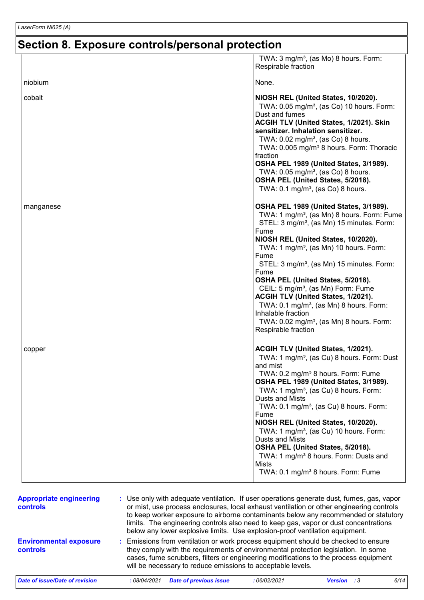## **Section 8. Exposure controls/personal protection**

|                                            | TWA: 3 mg/m <sup>3</sup> , (as Mo) 8 hours. Form:<br>Respirable fraction                                                                                                                                                                                                                                                                                                                                                                                                                                                                                                                                                          |
|--------------------------------------------|-----------------------------------------------------------------------------------------------------------------------------------------------------------------------------------------------------------------------------------------------------------------------------------------------------------------------------------------------------------------------------------------------------------------------------------------------------------------------------------------------------------------------------------------------------------------------------------------------------------------------------------|
| niobium                                    | None.                                                                                                                                                                                                                                                                                                                                                                                                                                                                                                                                                                                                                             |
|                                            |                                                                                                                                                                                                                                                                                                                                                                                                                                                                                                                                                                                                                                   |
| cobalt                                     | NIOSH REL (United States, 10/2020).<br>TWA: 0.05 mg/m <sup>3</sup> , (as Co) 10 hours. Form:<br>Dust and fumes<br>ACGIH TLV (United States, 1/2021). Skin<br>sensitizer. Inhalation sensitizer.<br>TWA: 0.02 mg/m <sup>3</sup> , (as Co) 8 hours.<br>TWA: 0.005 mg/m <sup>3</sup> 8 hours. Form: Thoracic<br>fraction<br>OSHA PEL 1989 (United States, 3/1989).<br>TWA: $0.05 \text{ mg/m}^3$ , (as Co) 8 hours.<br>OSHA PEL (United States, 5/2018).<br>TWA: $0.1 \text{ mg/m}^3$ , (as Co) 8 hours.                                                                                                                             |
| manganese                                  | OSHA PEL 1989 (United States, 3/1989).<br>TWA: 1 mg/m <sup>3</sup> , (as Mn) 8 hours. Form: Fume<br>STEL: 3 mg/m <sup>3</sup> , (as Mn) 15 minutes. Form:<br>Fume<br>NIOSH REL (United States, 10/2020).<br>TWA: 1 mg/m <sup>3</sup> , (as Mn) 10 hours. Form:<br>Fume<br>STEL: 3 mg/m <sup>3</sup> , (as Mn) 15 minutes. Form:<br>Fume<br>OSHA PEL (United States, 5/2018).<br>CEIL: 5 mg/m <sup>3</sup> , (as Mn) Form: Fume<br>ACGIH TLV (United States, 1/2021).<br>TWA: $0.1 \text{ mg/m}^3$ , (as Mn) 8 hours. Form:<br>Inhalable fraction<br>TWA: $0.02$ mg/m <sup>3</sup> , (as Mn) 8 hours. Form:<br>Respirable fraction |
| copper                                     | ACGIH TLV (United States, 1/2021).<br>TWA: 1 mg/m <sup>3</sup> , (as Cu) 8 hours. Form: Dust<br>and mist<br>TWA: 0.2 mg/m <sup>3</sup> 8 hours. Form: Fume<br>OSHA PEL 1989 (United States, 3/1989).<br>TWA: 1 mg/m <sup>3</sup> , (as Cu) 8 hours. Form:<br>Dusts and Mists<br>TWA: 0.1 mg/m <sup>3</sup> , (as Cu) 8 hours. Form:<br>Fume<br>NIOSH REL (United States, 10/2020).<br>TWA: 1 mg/m <sup>3</sup> , (as Cu) 10 hours. Form:<br>Dusts and Mists<br>OSHA PEL (United States, 5/2018).<br>TWA: 1 mg/m <sup>3</sup> 8 hours. Form: Dusts and<br><b>Mists</b><br>TWA: 0.1 mg/m <sup>3</sup> 8 hours. Form: Fume           |
| <b>Appropriate engineering</b><br>controls | : Use only with adequate ventilation. If user operations generate dust, fumes, gas, vapor<br>or mist, use process enclosures, local exhaust ventilation or other engineering controls<br>to keep worker exposure to airborne contaminants below any recommended or statutory<br>limits. The engineering controls also need to keep gas, vapor or dust concentrations<br>below any lower explosive limits. Use explosion-proof ventilation equipment.                                                                                                                                                                              |
| <b>Environmental exposure</b>              | Emissions from ventilation or work process equipment should be checked to ensure                                                                                                                                                                                                                                                                                                                                                                                                                                                                                                                                                  |

**controls** they comply with the requirements of environmental protection legislation. In some cases, fume scrubbers, filters or engineering modifications to the process equipment will be necessary to reduce emissions to acceptable levels.

*Date of issue/Date of revision* **:** *08/04/2021 Date of previous issue : 06/02/2021 Version : 3 6/14*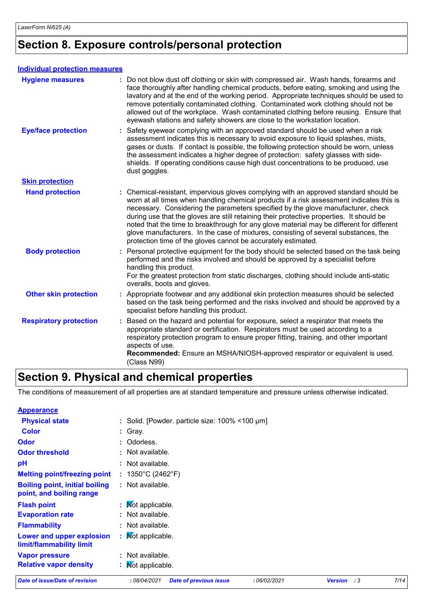### **Section 8. Exposure controls/personal protection**

#### **Individual protection measures**

| <b>Hygiene measures</b>       | : Do not blow dust off clothing or skin with compressed air. Wash hands, forearms and<br>face thoroughly after handling chemical products, before eating, smoking and using the<br>lavatory and at the end of the working period. Appropriate techniques should be used to<br>remove potentially contaminated clothing. Contaminated work clothing should not be<br>allowed out of the workplace. Wash contaminated clothing before reusing. Ensure that<br>eyewash stations and safety showers are close to the workstation location.                                                                                 |
|-------------------------------|------------------------------------------------------------------------------------------------------------------------------------------------------------------------------------------------------------------------------------------------------------------------------------------------------------------------------------------------------------------------------------------------------------------------------------------------------------------------------------------------------------------------------------------------------------------------------------------------------------------------|
| <b>Eye/face protection</b>    | : Safety eyewear complying with an approved standard should be used when a risk<br>assessment indicates this is necessary to avoid exposure to liquid splashes, mists,<br>gases or dusts. If contact is possible, the following protection should be worn, unless<br>the assessment indicates a higher degree of protection: safety glasses with side-<br>shields. If operating conditions cause high dust concentrations to be produced, use<br>dust goggles.                                                                                                                                                         |
| <b>Skin protection</b>        |                                                                                                                                                                                                                                                                                                                                                                                                                                                                                                                                                                                                                        |
| <b>Hand protection</b>        | : Chemical-resistant, impervious gloves complying with an approved standard should be<br>worn at all times when handling chemical products if a risk assessment indicates this is<br>necessary. Considering the parameters specified by the glove manufacturer, check<br>during use that the gloves are still retaining their protective properties. It should be<br>noted that the time to breakthrough for any glove material may be different for different<br>glove manufacturers. In the case of mixtures, consisting of several substances, the<br>protection time of the gloves cannot be accurately estimated. |
| <b>Body protection</b>        | : Personal protective equipment for the body should be selected based on the task being<br>performed and the risks involved and should be approved by a specialist before<br>handling this product.<br>For the greatest protection from static discharges, clothing should include anti-static<br>overalls, boots and gloves.                                                                                                                                                                                                                                                                                          |
| <b>Other skin protection</b>  | : Appropriate footwear and any additional skin protection measures should be selected<br>based on the task being performed and the risks involved and should be approved by a<br>specialist before handling this product.                                                                                                                                                                                                                                                                                                                                                                                              |
| <b>Respiratory protection</b> | : Based on the hazard and potential for exposure, select a respirator that meets the<br>appropriate standard or certification. Respirators must be used according to a<br>respiratory protection program to ensure proper fitting, training, and other important<br>aspects of use.<br>Recommended: Ensure an MSHA/NIOSH-approved respirator or equivalent is used.<br>(Class N99)                                                                                                                                                                                                                                     |

### **Section 9. Physical and chemical properties**

The conditions of measurement of all properties are at standard temperature and pressure unless otherwise indicated.

| Date of issue/Date of revision                                    | :08/04/2021<br><b>Date of previous issue</b><br>:06/02/2021 | <b>Version</b> : 3 | 7/14 |
|-------------------------------------------------------------------|-------------------------------------------------------------|--------------------|------|
| <b>Relative vapor density</b>                                     | : Mot applicable.                                           |                    |      |
| <b>Vapor pressure</b>                                             | : Not available.                                            |                    |      |
| Lower and upper explosion<br>limit/flammability limit             | : Mot applicable.                                           |                    |      |
| <b>Flammability</b>                                               | : Not available.                                            |                    |      |
| <b>Evaporation rate</b>                                           | : Not available.                                            |                    |      |
| <b>Flash point</b>                                                | : Mot applicable.                                           |                    |      |
| <b>Boiling point, initial boiling</b><br>point, and boiling range | : Not available.                                            |                    |      |
| <b>Melting point/freezing point</b>                               | : $1350^{\circ}$ C (2462 $^{\circ}$ F)                      |                    |      |
| рH                                                                | $:$ Not available.                                          |                    |      |
| <b>Odor threshold</b>                                             | : Not available.                                            |                    |      |
| <b>Odor</b>                                                       | : Odorless.                                                 |                    |      |
| <b>Color</b>                                                      | $:$ Gray.                                                   |                    |      |
| <b>Physical state</b>                                             | : Solid. [Powder. particle size: $100\%$ < 100 $\mu$ m]     |                    |      |
| <b>Appearance</b>                                                 |                                                             |                    |      |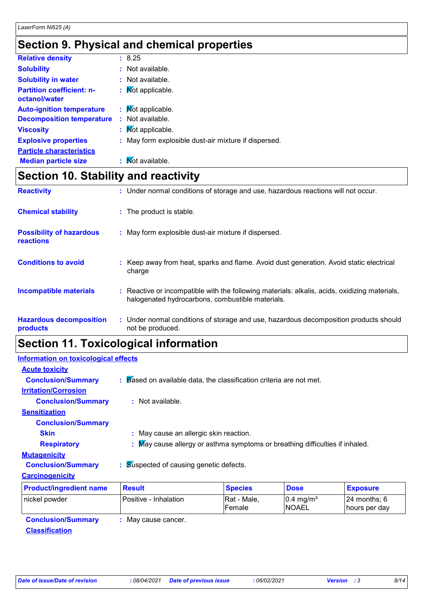### **Section 9. Physical and chemical properties**

| <b>Relative density</b>                           | : 8.25                                               |
|---------------------------------------------------|------------------------------------------------------|
| <b>Solubility</b>                                 | : Not available.                                     |
| <b>Solubility in water</b>                        | : Not available.                                     |
| <b>Partition coefficient: n-</b><br>octanol/water | : Mot applicable.                                    |
| <b>Auto-ignition temperature</b>                  | : Mot applicable.                                    |
| <b>Decomposition temperature</b>                  | : Not available.                                     |
| <b>Viscosity</b>                                  | : Mot applicable.                                    |
| <b>Explosive properties</b>                       | : May form explosible dust-air mixture if dispersed. |
| <b>Particle characteristics</b>                   |                                                      |
| <b>Median particle size</b>                       | : Mot available.                                     |
|                                                   |                                                      |

### **Section 10. Stability and reactivity**

| <b>Reactivity</b>                                   | : Under normal conditions of storage and use, hazardous reactions will not occur.                                                                 |
|-----------------------------------------------------|---------------------------------------------------------------------------------------------------------------------------------------------------|
| <b>Chemical stability</b>                           | : The product is stable.                                                                                                                          |
| <b>Possibility of hazardous</b><br><b>reactions</b> | : May form explosible dust-air mixture if dispersed.                                                                                              |
| <b>Conditions to avoid</b>                          | Keep away from heat, sparks and flame. Avoid dust generation. Avoid static electrical<br>charge                                                   |
| <b>Incompatible materials</b>                       | : Reactive or incompatible with the following materials: alkalis, acids, oxidizing materials,<br>halogenated hydrocarbons, combustible materials. |
| <b>Hazardous decomposition</b><br>products          | : Under normal conditions of storage and use, hazardous decomposition products should<br>not be produced.                                         |

## **Section 11. Toxicological information**

| <b>Information on toxicological effects</b> |                                                                                                 |                       |                                      |                                 |  |
|---------------------------------------------|-------------------------------------------------------------------------------------------------|-----------------------|--------------------------------------|---------------------------------|--|
| <b>Acute toxicity</b>                       |                                                                                                 |                       |                                      |                                 |  |
| <b>Conclusion/Summary</b>                   | $\therefore$ $\triangleright$ Based on available data, the classification criteria are not met. |                       |                                      |                                 |  |
| <b>Irritation/Corrosion</b>                 |                                                                                                 |                       |                                      |                                 |  |
| <b>Conclusion/Summary</b>                   | $:$ Not available.                                                                              |                       |                                      |                                 |  |
| <b>Sensitization</b>                        |                                                                                                 |                       |                                      |                                 |  |
| <b>Conclusion/Summary</b>                   |                                                                                                 |                       |                                      |                                 |  |
| <b>Skin</b>                                 | : May cause an allergic skin reaction.                                                          |                       |                                      |                                 |  |
| <b>Respiratory</b>                          | : May cause allergy or asthma symptoms or breathing difficulties if inhaled.                    |                       |                                      |                                 |  |
| <b>Mutagenicity</b>                         |                                                                                                 |                       |                                      |                                 |  |
| <b>Conclusion/Summary</b>                   | Suspected of causing genetic defects.                                                           |                       |                                      |                                 |  |
| <b>Carcinogenicity</b>                      |                                                                                                 |                       |                                      |                                 |  |
| <b>Product/ingredient name</b>              | <b>Result</b>                                                                                   | <b>Species</b>        | <b>Dose</b>                          | <b>Exposure</b>                 |  |
| nickel powder                               | Positive - Inhalation                                                                           | Rat - Male,<br>Female | $0.4 \text{ mg/m}^3$<br><b>NOAEL</b> | 24 months: $6$<br>hours per day |  |
| Conclusion Cummons                          | $Mov$ couse concer                                                                              |                       |                                      |                                 |  |

**Conclusion/Summary :** May cause cancer. **Classification**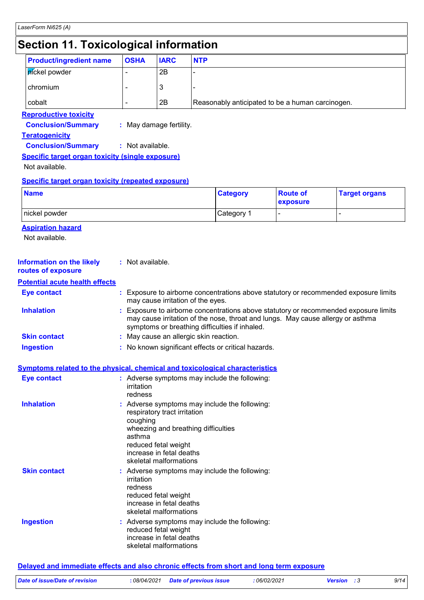### **Section 11. Toxicological information**

| <b>Product/ingredient name</b>                                                     | <b>OSHA</b>                                                                                                                                                                                                              | <b>IARC</b>                                                                                                                                                                                                             | <b>NTP</b> |                                               |                                                  |                      |
|------------------------------------------------------------------------------------|--------------------------------------------------------------------------------------------------------------------------------------------------------------------------------------------------------------------------|-------------------------------------------------------------------------------------------------------------------------------------------------------------------------------------------------------------------------|------------|-----------------------------------------------|--------------------------------------------------|----------------------|
| pickel powder                                                                      |                                                                                                                                                                                                                          | 2B                                                                                                                                                                                                                      |            |                                               |                                                  |                      |
| chromium                                                                           |                                                                                                                                                                                                                          | 3                                                                                                                                                                                                                       |            |                                               |                                                  |                      |
| cobalt                                                                             |                                                                                                                                                                                                                          | 2B                                                                                                                                                                                                                      |            |                                               | Reasonably anticipated to be a human carcinogen. |                      |
| <b>Reproductive toxicity</b><br><b>Conclusion/Summary</b><br><b>Teratogenicity</b> | : May damage fertility.                                                                                                                                                                                                  |                                                                                                                                                                                                                         |            |                                               |                                                  |                      |
| <b>Conclusion/Summary</b>                                                          | : Not available.                                                                                                                                                                                                         |                                                                                                                                                                                                                         |            |                                               |                                                  |                      |
| <b>Specific target organ toxicity (single exposure)</b><br>Not available.          |                                                                                                                                                                                                                          |                                                                                                                                                                                                                         |            |                                               |                                                  |                      |
| Specific target organ toxicity (repeated exposure)                                 |                                                                                                                                                                                                                          |                                                                                                                                                                                                                         |            |                                               |                                                  |                      |
| <b>Name</b>                                                                        |                                                                                                                                                                                                                          |                                                                                                                                                                                                                         |            | <b>Category</b>                               | <b>Route of</b><br>exposure                      | <b>Target organs</b> |
| nickel powder                                                                      |                                                                                                                                                                                                                          |                                                                                                                                                                                                                         |            | Category 1                                    |                                                  | L,                   |
| <b>Aspiration hazard</b><br>Not available.                                         |                                                                                                                                                                                                                          |                                                                                                                                                                                                                         |            |                                               |                                                  |                      |
| <b>Information on the likely</b><br>routes of exposure                             | : Not available.                                                                                                                                                                                                         |                                                                                                                                                                                                                         |            |                                               |                                                  |                      |
| <b>Potential acute health effects</b>                                              |                                                                                                                                                                                                                          |                                                                                                                                                                                                                         |            |                                               |                                                  |                      |
| <b>Eye contact</b>                                                                 |                                                                                                                                                                                                                          | : Exposure to airborne concentrations above statutory or recommended exposure limits<br>may cause irritation of the eyes.                                                                                               |            |                                               |                                                  |                      |
| <b>Inhalation</b>                                                                  |                                                                                                                                                                                                                          | Exposure to airborne concentrations above statutory or recommended exposure limits<br>may cause irritation of the nose, throat and lungs. May cause allergy or asthma<br>symptoms or breathing difficulties if inhaled. |            |                                               |                                                  |                      |
| <b>Skin contact</b>                                                                | : May cause an allergic skin reaction.                                                                                                                                                                                   |                                                                                                                                                                                                                         |            |                                               |                                                  |                      |
| <b>Ingestion</b>                                                                   |                                                                                                                                                                                                                          | : No known significant effects or critical hazards.                                                                                                                                                                     |            |                                               |                                                  |                      |
| Symptoms related to the physical, chemical and toxicological characteristics       |                                                                                                                                                                                                                          |                                                                                                                                                                                                                         |            |                                               |                                                  |                      |
| <b>Eye contact</b>                                                                 | irritation<br>redness                                                                                                                                                                                                    |                                                                                                                                                                                                                         |            | : Adverse symptoms may include the following: |                                                  |                      |
| <b>Inhalation</b>                                                                  | : Adverse symptoms may include the following:<br>respiratory tract irritation<br>coughing<br>wheezing and breathing difficulties<br>asthma<br>reduced fetal weight<br>increase in fetal deaths<br>skeletal malformations |                                                                                                                                                                                                                         |            |                                               |                                                  |                      |
| <b>Skin contact</b>                                                                | irritation<br>redness                                                                                                                                                                                                    | reduced fetal weight<br>increase in fetal deaths                                                                                                                                                                        |            | : Adverse symptoms may include the following: |                                                  |                      |
| <b>Ingestion</b>                                                                   | skeletal malformations<br>: Adverse symptoms may include the following:<br>reduced fetal weight<br>increase in fetal deaths<br>skeletal malformations                                                                    |                                                                                                                                                                                                                         |            |                                               |                                                  |                      |

**Delayed and immediate effects and also chronic effects from short and long term exposure**

| Date of issue/Date of revision |  | : 08/04/2021 Date of previous issue | 06/02/2021 | <b>Version</b> :3 | 9/14 |
|--------------------------------|--|-------------------------------------|------------|-------------------|------|
|--------------------------------|--|-------------------------------------|------------|-------------------|------|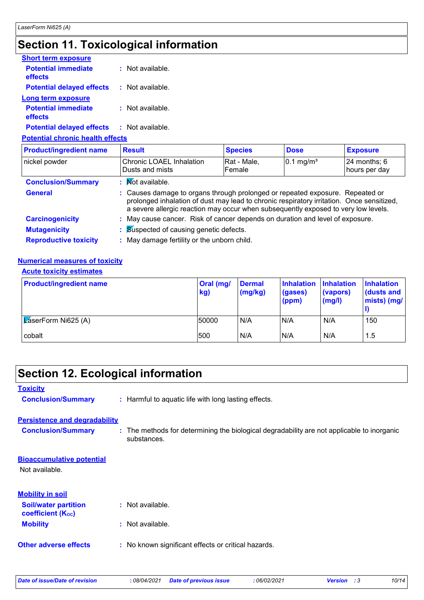## **Section 11. Toxicological information**

| <b>Short term exposure</b>            |                    |
|---------------------------------------|--------------------|
| <b>Potential immediate</b><br>effects | $:$ Not available. |
| <b>Potential delayed effects</b>      | : Not available.   |
| Long term exposure                    |                    |
| <b>Potential immediate</b><br>effects | $:$ Not available. |
| <b>Potential delayed effects</b>      | : Not available.   |

**Potential chronic health effects**

| <b>Product/ingredient name</b> | <b>Result</b>                                                                                                                                                                                                                                                    | <b>Species</b>        | <b>Dose</b>             | <b>Exposure</b>                   |  |
|--------------------------------|------------------------------------------------------------------------------------------------------------------------------------------------------------------------------------------------------------------------------------------------------------------|-----------------------|-------------------------|-----------------------------------|--|
| nickel powder                  | <b>Chronic LOAEL Inhalation</b><br>Dusts and mists                                                                                                                                                                                                               | Rat - Male,<br>Female | $0.1$ mg/m <sup>3</sup> | $24$ months; $6$<br>hours per day |  |
| <b>Conclusion/Summary</b>      | : Mot available.                                                                                                                                                                                                                                                 |                       |                         |                                   |  |
| <b>General</b>                 | : Causes damage to organs through prolonged or repeated exposure. Repeated or<br>prolonged inhalation of dust may lead to chronic respiratory irritation. Once sensitized,<br>a severe allergic reaction may occur when subsequently exposed to very low levels. |                       |                         |                                   |  |
| <b>Carcinogenicity</b>         | : May cause cancer. Risk of cancer depends on duration and level of exposure.                                                                                                                                                                                    |                       |                         |                                   |  |
| <b>Mutagenicity</b>            | : Suspected of causing genetic defects.<br>: May damage fertility or the unborn child.                                                                                                                                                                           |                       |                         |                                   |  |
| <b>Reproductive toxicity</b>   |                                                                                                                                                                                                                                                                  |                       |                         |                                   |  |

#### **Numerical measures of toxicity**

#### **Acute toxicity estimates**

| <b>Product/ingredient name</b>         | Oral (mg/<br>kg) | Dermal<br>(mg/kg) | <b>Inhalation</b><br>(gases)<br>(ppm) | <b>Inhalation</b><br>(vapors)<br>(mg/l) | <b>Inhalation</b><br>dusts and<br>mists) (mg/ |
|----------------------------------------|------------------|-------------------|---------------------------------------|-----------------------------------------|-----------------------------------------------|
| $\sqrt{\mathsf{Z}}$ aserForm Ni625 (A) | 50000            | N/A               | N/A                                   | N/A                                     | 150                                           |
| cobalt                                 | 500              | N/A               | N/A                                   | N/A                                     | 1.5                                           |

## **Section 12. Ecological information**

| <b>Toxicity</b>                                         |                                                                                                           |
|---------------------------------------------------------|-----------------------------------------------------------------------------------------------------------|
| <b>Conclusion/Summary</b>                               | : Harmful to aquatic life with long lasting effects.                                                      |
| <b>Persistence and degradability</b>                    |                                                                                                           |
| <b>Conclusion/Summary</b>                               | : The methods for determining the biological degradability are not applicable to inorganic<br>substances. |
| <b>Bioaccumulative potential</b>                        |                                                                                                           |
| Not available.                                          |                                                                                                           |
| <b>Mobility in soil</b>                                 |                                                                                                           |
| <b>Soil/water partition</b><br><b>coefficient (Koc)</b> | : Not available.                                                                                          |
| <b>Mobility</b>                                         | : Not available.                                                                                          |
| <b>Other adverse effects</b>                            | : No known significant effects or critical hazards.                                                       |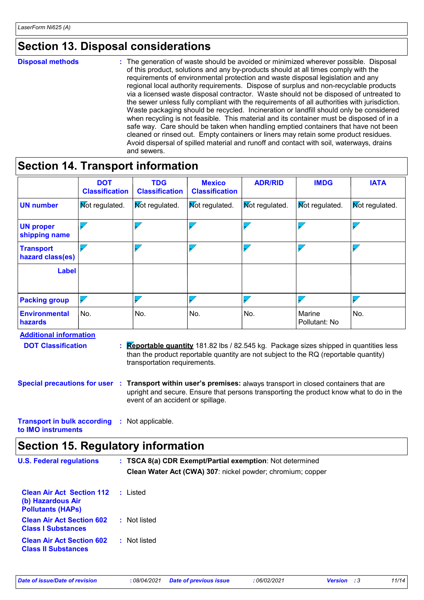### **Section 13. Disposal considerations**

**Disposal methods :**

The generation of waste should be avoided or minimized wherever possible. Disposal of this product, solutions and any by-products should at all times comply with the requirements of environmental protection and waste disposal legislation and any regional local authority requirements. Dispose of surplus and non-recyclable products via a licensed waste disposal contractor. Waste should not be disposed of untreated to the sewer unless fully compliant with the requirements of all authorities with jurisdiction. Waste packaging should be recycled. Incineration or landfill should only be considered when recycling is not feasible. This material and its container must be disposed of in a safe way. Care should be taken when handling emptied containers that have not been cleaned or rinsed out. Empty containers or liners may retain some product residues. Avoid dispersal of spilled material and runoff and contact with soil, waterways, drains and sewers.

### **Section 14. Transport information**

|                                        | <b>DOT</b><br><b>Classification</b> | <b>TDG</b><br><b>Classification</b> | <b>Mexico</b><br><b>Classification</b> | <b>ADR/RID</b>        | <b>IMDG</b>             | <b>IATA</b>              |
|----------------------------------------|-------------------------------------|-------------------------------------|----------------------------------------|-----------------------|-------------------------|--------------------------|
| <b>UN number</b>                       | <b>Mot regulated.</b>               | <b>Not regulated.</b>               | <b>Not regulated.</b>                  | <b>Not regulated.</b> | <b>Not regulated.</b>   | <b>Mot regulated.</b>    |
| <b>UN proper</b><br>shipping name      |                                     |                                     |                                        |                       |                         |                          |
| <b>Transport</b><br>hazard class(es)   |                                     |                                     |                                        |                       | - 7                     | $\overline{\phantom{a}}$ |
| <b>Label</b>                           |                                     |                                     |                                        |                       |                         |                          |
| <b>Packing group</b>                   |                                     |                                     |                                        |                       |                         |                          |
| <b>Environmental</b><br><b>hazards</b> | No.                                 | No.                                 | No.                                    | No.                   | Marine<br>Pollutant: No | No.                      |

**Additional information DOT Classification :**

- **Reportable quantity** 181.82 lbs / 82.545 kg. Package sizes shipped in quantities less than the product reportable quantity are not subject to the RQ (reportable quantity) transportation requirements.
- **Special precautions for user Transport within user's premises:** always transport in closed containers that are **:** upright and secure. Ensure that persons transporting the product know what to do in the event of an accident or spillage.

**Transport in bulk according :** Not applicable. **to IMO instruments**

### **Section 15. Regulatory information**

| <b>U.S. Federal regulations</b>                                                   |              | : TSCA 8(a) CDR Exempt/Partial exemption: Not determined<br>Clean Water Act (CWA) 307: nickel powder; chromium; copper |
|-----------------------------------------------------------------------------------|--------------|------------------------------------------------------------------------------------------------------------------------|
| <b>Clean Air Act Section 112</b><br>(b) Hazardous Air<br><b>Pollutants (HAPS)</b> | : Listed     |                                                                                                                        |
| <b>Clean Air Act Section 602</b><br><b>Class I Substances</b>                     | : Not listed |                                                                                                                        |
| <b>Clean Air Act Section 602</b><br><b>Class II Substances</b>                    | : Not listed |                                                                                                                        |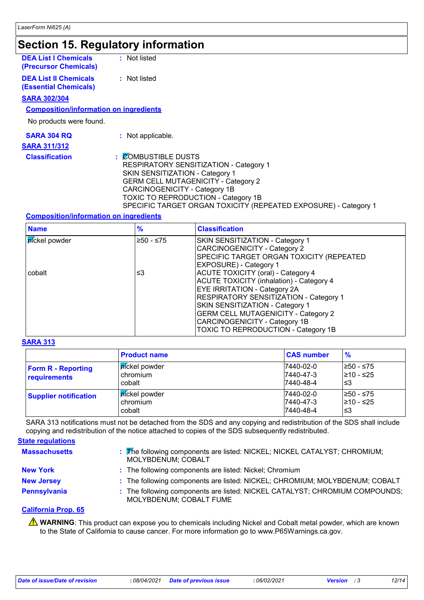### **Section 15. Regulatory information**

| <b>DEA List I Chemicals</b><br>(Precursor Chemicals)  | : Not listed                                                                                                                                                    |
|-------------------------------------------------------|-----------------------------------------------------------------------------------------------------------------------------------------------------------------|
| <b>DEA List II Chemicals</b><br>(Essential Chemicals) | : Not listed                                                                                                                                                    |
| <u>SARA 302/304</u>                                   |                                                                                                                                                                 |
| <b>Composition/information on ingredients</b>         |                                                                                                                                                                 |
| No products were found.                               |                                                                                                                                                                 |
| <b>SARA 304 RQ</b>                                    | : Not applicable.                                                                                                                                               |
| <u>SARA 311/312</u>                                   |                                                                                                                                                                 |
| <b>Classification</b>                                 | <b>COMBUSTIBLE DUSTS</b><br>÷<br><b>RESPIRATORY SENSITIZATION - Category 1</b><br>SKIN SENSITIZATION - Category 1<br><b>GERM CELL MUTAGENICITY - Category 2</b> |

CARCINOGENICITY - Category 1B

TOXIC TO REPRODUCTION - Category 1B

#### **Composition/information on ingredients**

| <b>Name</b>   | $\frac{9}{6}$ | <b>Classification</b>                                                                                                                                                                                                                                                                                                           |
|---------------|---------------|---------------------------------------------------------------------------------------------------------------------------------------------------------------------------------------------------------------------------------------------------------------------------------------------------------------------------------|
| píckel powder | ≥50 - ≤75     | <b>SKIN SENSITIZATION - Category 1</b><br>CARCINOGENICITY - Category 2<br>SPECIFIC TARGET ORGAN TOXICITY (REPEATED<br><b>EXPOSURE)</b> - Category 1                                                                                                                                                                             |
| cobalt        | ≤3            | ACUTE TOXICITY (oral) - Category 4<br>ACUTE TOXICITY (inhalation) - Category 4<br><b>EYE IRRITATION - Category 2A</b><br><b>RESPIRATORY SENSITIZATION - Category 1</b><br>SKIN SENSITIZATION - Category 1<br><b>GERM CELL MUTAGENICITY - Category 2</b><br>CARCINOGENICITY - Category 1B<br>TOXIC TO REPRODUCTION - Category 1B |

SPECIFIC TARGET ORGAN TOXICITY (REPEATED EXPOSURE) - Category 1

#### **SARA 313**

|                                           | <b>Product name</b>                                 | <b>CAS number</b>                   | $\frac{9}{6}$                  |
|-------------------------------------------|-----------------------------------------------------|-------------------------------------|--------------------------------|
| <b>Form R - Reporting</b><br>requirements | ∣ <mark>ní</mark> ckel powder<br>chromium<br>cobalt | 7440-02-0<br>7440-47-3<br>7440-48-4 | 1≥50 - ≤75<br>210 - ≤25<br>'≤3 |
| <b>Supplier notification</b>              | ∣ <mark>ní</mark> ckel powder<br>chromium<br>cobalt | 7440-02-0<br>7440-47-3<br>7440-48-4 | I≥50 - ≤75<br>210 - ≤25<br>'≤3 |

SARA 313 notifications must not be detached from the SDS and any copying and redistribution of the SDS shall include copying and redistribution of the notice attached to copies of the SDS subsequently redistributed.

| <b>State regulations</b> |                                                                                                        |
|--------------------------|--------------------------------------------------------------------------------------------------------|
| <b>Massachusetts</b>     | : The following components are listed: NICKEL; NICKEL CATALYST; CHROMIUM;<br>MOLYBDENUM; COBALT        |
| <b>New York</b>          | : The following components are listed: Nickel; Chromium                                                |
| <b>New Jersey</b>        | : The following components are listed: NICKEL; CHROMIUM; MOLYBDENUM; COBALT                            |
| Pennsylvania             | : The following components are listed: NICKEL CATALYST; CHROMIUM COMPOUNDS;<br>MOLYBDENUM; COBALT FUME |

#### **California Prop. 65**

**A** WARNING: This product can expose you to chemicals including Nickel and Cobalt metal powder, which are known to the State of California to cause cancer. For more information go to www.P65Warnings.ca.gov.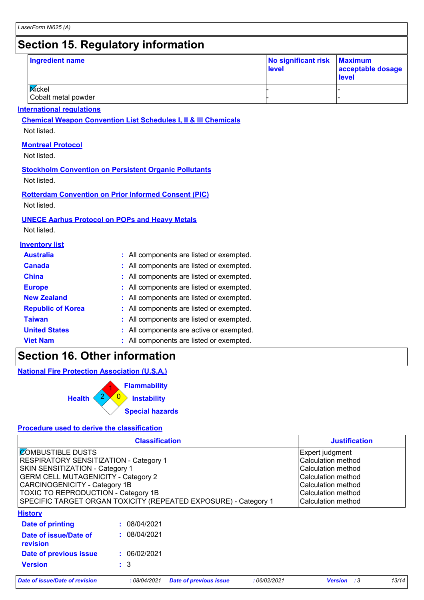### **Section 15. Regulatory information**

| <b>Ingredient name</b>        | No significant risk Maximum<br>level | acceptable dosage<br><b>level</b> |
|-------------------------------|--------------------------------------|-----------------------------------|
| Mickel<br>Cobalt metal powder |                                      |                                   |

#### **International regulations**

**Chemical Weapon Convention List Schedules I, II & III Chemicals**

Not listed.

#### **Montreal Protocol**

Not listed.

#### **Stockholm Convention on Persistent Organic Pollutants**

Not listed.

### **Rotterdam Convention on Prior Informed Consent (PIC)**

Not listed.

#### **UNECE Aarhus Protocol on POPs and Heavy Metals**

Not listed.

#### **Inventory list**

| <b>Australia</b>         | : All components are listed or exempted. |
|--------------------------|------------------------------------------|
| <b>Canada</b>            | : All components are listed or exempted. |
| <b>China</b>             | : All components are listed or exempted. |
| <b>Europe</b>            | : All components are listed or exempted. |
| <b>New Zealand</b>       | : All components are listed or exempted. |
| <b>Republic of Korea</b> | : All components are listed or exempted. |
| <b>Taiwan</b>            | : All components are listed or exempted. |
| <b>United States</b>     | : All components are active or exempted. |
| <b>Viet Nam</b>          | : All components are listed or exempted. |

### **Section 16. Other information**

**National Fire Protection Association (U.S.A.)**



#### **Procedure used to derive the classification**

|                                                                 | <b>Justification</b>                                           |                               |             |                    |       |
|-----------------------------------------------------------------|----------------------------------------------------------------|-------------------------------|-------------|--------------------|-------|
| <b>COMBUSTIBLE DUSTS</b>                                        | Expert judgment                                                |                               |             |                    |       |
| RESPIRATORY SENSITIZATION - Category 1                          | Calculation method                                             |                               |             |                    |       |
| SKIN SENSITIZATION - Category 1                                 | Calculation method<br>Calculation method<br>Calculation method |                               |             |                    |       |
| <b>GERM CELL MUTAGENICITY - Category 2</b>                      |                                                                |                               |             |                    |       |
| <b>CARCINOGENICITY - Category 1B</b>                            |                                                                |                               |             |                    |       |
| <b>TOXIC TO REPRODUCTION - Category 1B</b>                      |                                                                |                               |             | Calculation method |       |
| SPECIFIC TARGET ORGAN TOXICITY (REPEATED EXPOSURE) - Category 1 |                                                                |                               |             | Calculation method |       |
| <b>History</b>                                                  |                                                                |                               |             |                    |       |
| Date of printing                                                | : 08/04/2021                                                   |                               |             |                    |       |
| Date of issue/Date of<br>revision                               | : 08/04/2021                                                   |                               |             |                    |       |
| Date of previous issue                                          | : 06/02/2021                                                   |                               |             |                    |       |
| <b>Version</b>                                                  | $\therefore$ 3                                                 |                               |             |                    |       |
| Date of issue/Date of revision                                  | :08/04/2021                                                    | <b>Date of previous issue</b> | :06/02/2021 | <b>Version</b> : 3 | 13/14 |